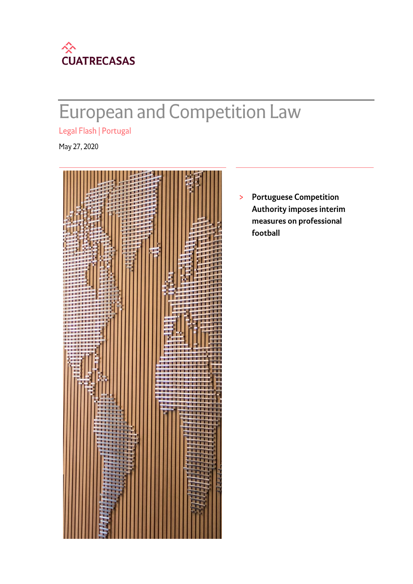

# European and Competition Law

Legal Flash | Portugal

May 27, 2020



**Portuguese Competition**  $\,>\,$ **Authority imposes interim** measures on professional football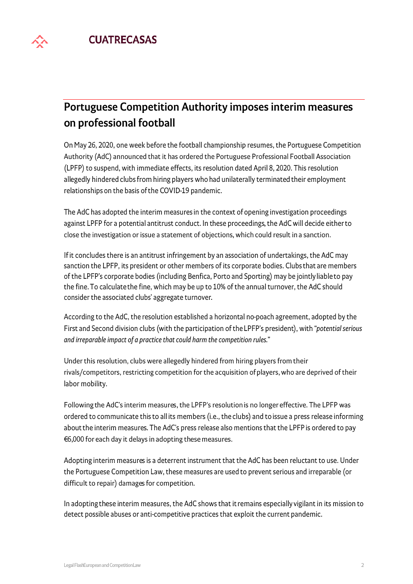

## **Portuguese Competition Authority imposes interim measures** on professional football

On May 26, 2020, one week before the football championship resumes, the Portuguese Competition Authority (AdC) announced that it has ordered the Portuguese Professional Football Association (LPFP) to suspend, with immediate effects, its resolution dated April 8, 2020. This resolution allegedly hindered clubs from hiring players who had unilaterally terminated their employment relationships on the basis of the COVID-19 pandemic.

The AdC has adopted the interim measures in the context of opening investigation proceedings against LPFP for a potential antitrust conduct. In these proceedings, the AdC will decide either to close the investigation or issue a statement of objections, which could result in a sanction.

If it concludes there is an antitrust infringement by an association of undertakings, the AdC may sanction the LPFP, its president or other members of its corporate bodies. Clubs that are members of the LPFP's corporate bodies (including Benfica, Porto and Sporting) may be jointly liable to pay the fine. To calculate the fine, which may be up to 10% of the annual turnover, the AdC should consider the associated clubs' aggregate turnover.

According to the AdC, the resolution established a horizontal no-poach agreement, adopted by the First and Second division clubs (with the participation of the LPFP's president), with "potential serious and irreparable impact of a practice that could harm the competition rules."

Under this resolution, clubs were allegedly hindered from hiring players from their rivals/competitors, restricting competition for the acquisition of players, who are deprived of their labor mobility.

Following the AdC's interim measures, the LPFP's resolution is no longer effective. The LPFP was ordered to communicate this to all its members (i.e., the clubs) and to issue a press release informing about the interim measures. The AdC's press release also mentions that the LPFP is ordered to pay €6,000 for each day it delays in adopting these measures.

Adopting interim measures is a deterrent instrument that the AdC has been reluctant to use. Under the Portuguese Competition Law, these measures are used to prevent serious and irreparable (or difficult to repair) damages for competition.

In adopting these interim measures, the AdC shows that it remains especially vigilant in its mission to detect possible abuses or anti-competitive practices that exploit the current pandemic.